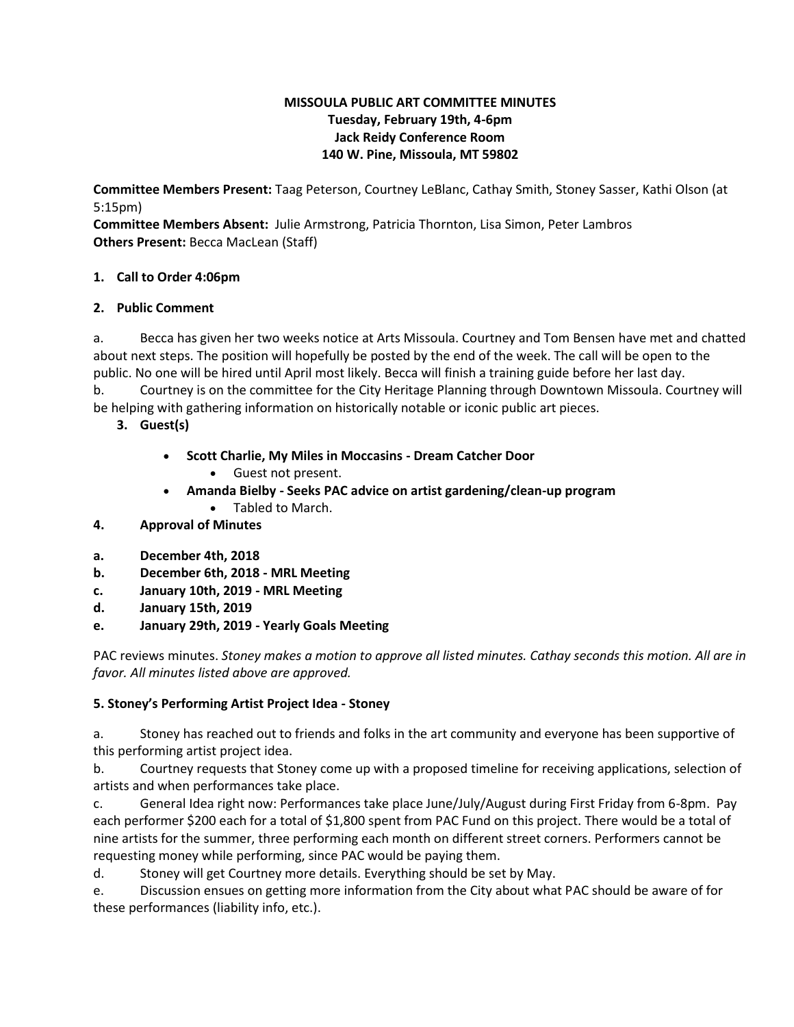## **MISSOULA PUBLIC ART COMMITTEE MINUTES Tuesday, February 19th, 4-6pm Jack Reidy Conference Room 140 W. Pine, Missoula, MT 59802**

**Committee Members Present:** Taag Peterson, Courtney LeBlanc, Cathay Smith, Stoney Sasser, Kathi Olson (at 5:15pm)

**Committee Members Absent:** Julie Armstrong, Patricia Thornton, Lisa Simon, Peter Lambros **Others Present:** Becca MacLean (Staff)

# **1. Call to Order 4:06pm**

# **2. Public Comment**

a. Becca has given her two weeks notice at Arts Missoula. Courtney and Tom Bensen have met and chatted about next steps. The position will hopefully be posted by the end of the week. The call will be open to the public. No one will be hired until April most likely. Becca will finish a training guide before her last day.

b. Courtney is on the committee for the City Heritage Planning through Downtown Missoula. Courtney will be helping with gathering information on historically notable or iconic public art pieces.

- **3. Guest(s)**
	- **Scott Charlie, My Miles in Moccasins - Dream Catcher Door**
		- Guest not present.
	- **Amanda Bielby - Seeks PAC advice on artist gardening/clean-up program** Tabled to March.
	-
- **4. Approval of Minutes**
- **a. December 4th, 2018**
- **b. December 6th, 2018 - MRL Meeting**
- **c. January 10th, 2019 - MRL Meeting**
- **d. January 15th, 2019**
- **e. January 29th, 2019 - Yearly Goals Meeting**

PAC reviews minutes. *Stoney makes a motion to approve all listed minutes. Cathay seconds this motion. All are in favor. All minutes listed above are approved.*

# **5. Stoney's Performing Artist Project Idea - Stoney**

a. Stoney has reached out to friends and folks in the art community and everyone has been supportive of this performing artist project idea.

b. Courtney requests that Stoney come up with a proposed timeline for receiving applications, selection of artists and when performances take place.

c. General Idea right now: Performances take place June/July/August during First Friday from 6-8pm. Pay each performer \$200 each for a total of \$1,800 spent from PAC Fund on this project. There would be a total of nine artists for the summer, three performing each month on different street corners. Performers cannot be requesting money while performing, since PAC would be paying them.

d. Stoney will get Courtney more details. Everything should be set by May.

e. Discussion ensues on getting more information from the City about what PAC should be aware of for these performances (liability info, etc.).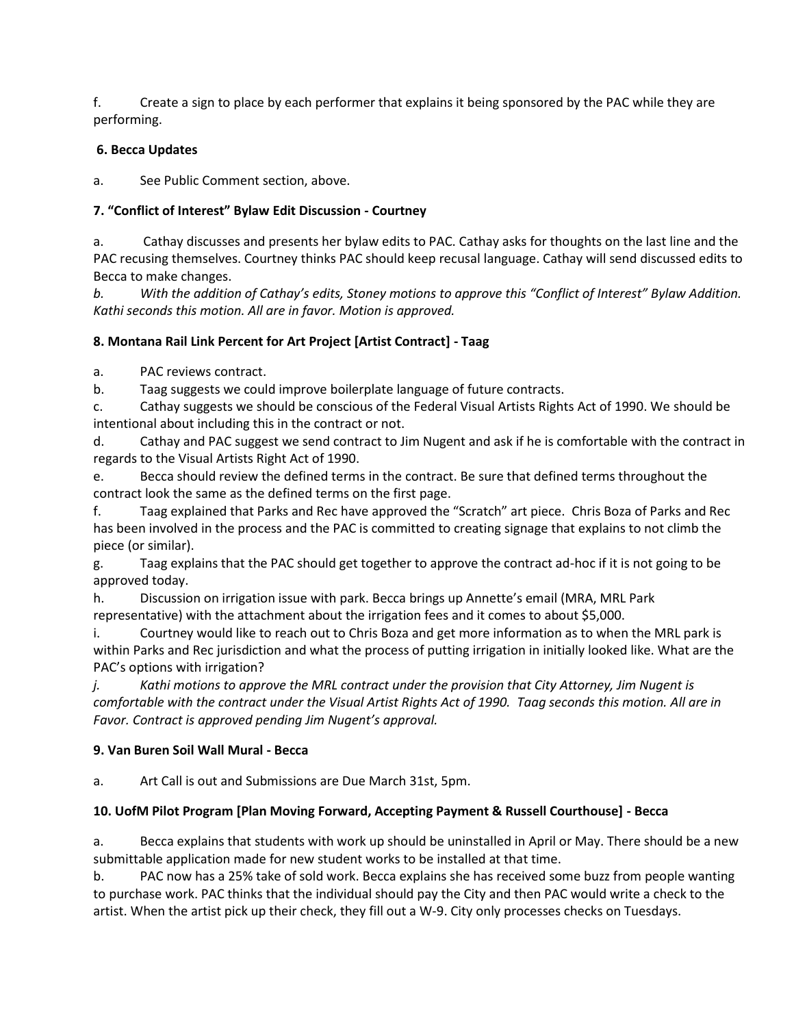f. Create a sign to place by each performer that explains it being sponsored by the PAC while they are performing.

# **6. Becca Updates**

a. See Public Comment section, above.

# **7. "Conflict of Interest" Bylaw Edit Discussion - Courtney**

a. Cathay discusses and presents her bylaw edits to PAC. Cathay asks for thoughts on the last line and the PAC recusing themselves. Courtney thinks PAC should keep recusal language. Cathay will send discussed edits to Becca to make changes.

*b. With the addition of Cathay's edits, Stoney motions to approve this "Conflict of Interest" Bylaw Addition. Kathi seconds this motion. All are in favor. Motion is approved.*

# **8. Montana Rail Link Percent for Art Project [Artist Contract] - Taag**

a. PAC reviews contract.

b. Taag suggests we could improve boilerplate language of future contracts.

c. Cathay suggests we should be conscious of the Federal Visual Artists Rights Act of 1990. We should be intentional about including this in the contract or not.

d. Cathay and PAC suggest we send contract to Jim Nugent and ask if he is comfortable with the contract in regards to the Visual Artists Right Act of 1990.

e. Becca should review the defined terms in the contract. Be sure that defined terms throughout the contract look the same as the defined terms on the first page.

f. Taag explained that Parks and Rec have approved the "Scratch" art piece. Chris Boza of Parks and Rec has been involved in the process and the PAC is committed to creating signage that explains to not climb the piece (or similar).

g. Taag explains that the PAC should get together to approve the contract ad-hoc if it is not going to be approved today.

h. Discussion on irrigation issue with park. Becca brings up Annette's email (MRA, MRL Park representative) with the attachment about the irrigation fees and it comes to about \$5,000.

i. Courtney would like to reach out to Chris Boza and get more information as to when the MRL park is within Parks and Rec jurisdiction and what the process of putting irrigation in initially looked like. What are the PAC's options with irrigation?

*j. Kathi motions to approve the MRL contract under the provision that City Attorney, Jim Nugent is comfortable with the contract under the Visual Artist Rights Act of 1990. Taag seconds this motion. All are in Favor. Contract is approved pending Jim Nugent's approval.*

# **9. Van Buren Soil Wall Mural - Becca**

a. Art Call is out and Submissions are Due March 31st, 5pm.

# **10. UofM Pilot Program [Plan Moving Forward, Accepting Payment & Russell Courthouse] - Becca**

a. Becca explains that students with work up should be uninstalled in April or May. There should be a new submittable application made for new student works to be installed at that time.

b. PAC now has a 25% take of sold work. Becca explains she has received some buzz from people wanting to purchase work. PAC thinks that the individual should pay the City and then PAC would write a check to the artist. When the artist pick up their check, they fill out a W-9. City only processes checks on Tuesdays.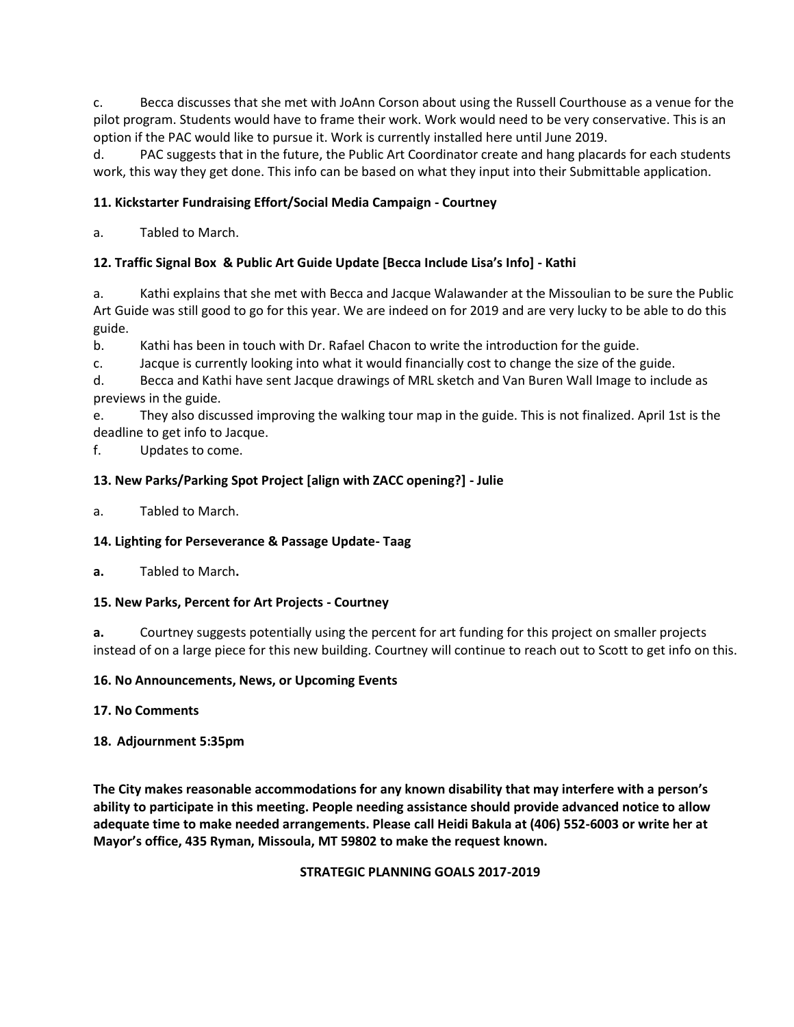c. Becca discusses that she met with JoAnn Corson about using the Russell Courthouse as a venue for the pilot program. Students would have to frame their work. Work would need to be very conservative. This is an option if the PAC would like to pursue it. Work is currently installed here until June 2019.

d. PAC suggests that in the future, the Public Art Coordinator create and hang placards for each students work, this way they get done. This info can be based on what they input into their Submittable application.

# **11. Kickstarter Fundraising Effort/Social Media Campaign - Courtney**

a. Tabled to March.

## **12. Traffic Signal Box & Public Art Guide Update [Becca Include Lisa's Info] - Kathi**

a. Kathi explains that she met with Becca and Jacque Walawander at the Missoulian to be sure the Public Art Guide was still good to go for this year. We are indeed on for 2019 and are very lucky to be able to do this guide.

b. Kathi has been in touch with Dr. Rafael Chacon to write the introduction for the guide.

c. Jacque is currently looking into what it would financially cost to change the size of the guide.

d. Becca and Kathi have sent Jacque drawings of MRL sketch and Van Buren Wall Image to include as previews in the guide.

e. They also discussed improving the walking tour map in the guide. This is not finalized. April 1st is the deadline to get info to Jacque.

f. Updates to come.

## **13. New Parks/Parking Spot Project [align with ZACC opening?] - Julie**

a. Tabled to March.

### **14. Lighting for Perseverance & Passage Update- Taag**

**a.** Tabled to March**.**

### **15. New Parks, Percent for Art Projects - Courtney**

**a.** Courtney suggests potentially using the percent for art funding for this project on smaller projects instead of on a large piece for this new building. Courtney will continue to reach out to Scott to get info on this.

### **16. No Announcements, News, or Upcoming Events**

**17. No Comments**

### **18. Adjournment 5:35pm**

**The City makes reasonable accommodations for any known disability that may interfere with a person's ability to participate in this meeting. People needing assistance should provide advanced notice to allow adequate time to make needed arrangements. Please call Heidi Bakula at (406) 552-6003 or write her at Mayor's office, 435 Ryman, Missoula, MT 59802 to make the request known.**

### **STRATEGIC PLANNING GOALS 2017-2019**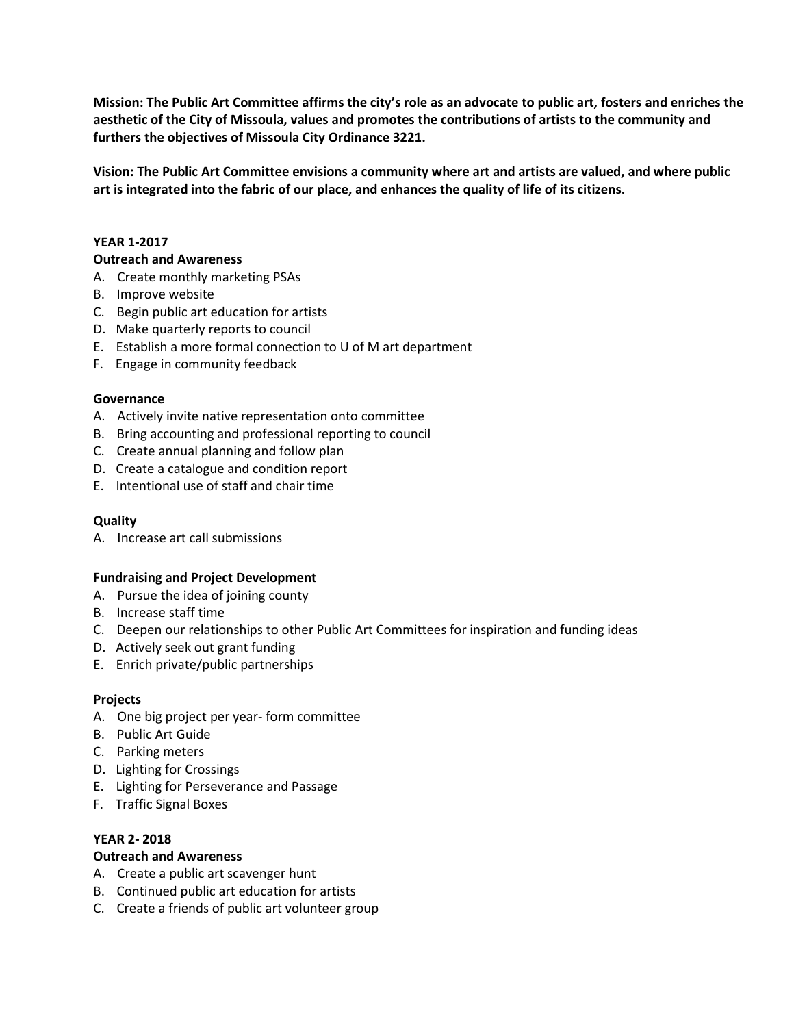**Mission: The Public Art Committee affirms the city's role as an advocate to public art, fosters and enriches the aesthetic of the City of Missoula, values and promotes the contributions of artists to the community and furthers the objectives of Missoula City Ordinance 3221.**

**Vision: The Public Art Committee envisions a community where art and artists are valued, and where public art is integrated into the fabric of our place, and enhances the quality of life of its citizens.**

#### **YEAR 1-2017**

#### **Outreach and Awareness**

- A. Create monthly marketing PSAs
- B. Improve website
- C. Begin public art education for artists
- D. Make quarterly reports to council
- E. Establish a more formal connection to U of M art department
- F. Engage in community feedback

### **Governance**

- A. Actively invite native representation onto committee
- B. Bring accounting and professional reporting to council
- C. Create annual planning and follow plan
- D. Create a catalogue and condition report
- E. Intentional use of staff and chair time

### **Quality**

A. Increase art call submissions

### **Fundraising and Project Development**

- A. Pursue the idea of joining county
- B. Increase staff time
- C. Deepen our relationships to other Public Art Committees for inspiration and funding ideas
- D. Actively seek out grant funding
- E. Enrich private/public partnerships

### **Projects**

- A. One big project per year- form committee
- B. Public Art Guide
- C. Parking meters
- D. Lighting for Crossings
- E. Lighting for Perseverance and Passage
- F. Traffic Signal Boxes

### **YEAR 2- 2018**

### **Outreach and Awareness**

- A. Create a public art scavenger hunt
- B. Continued public art education for artists
- C. Create a friends of public art volunteer group